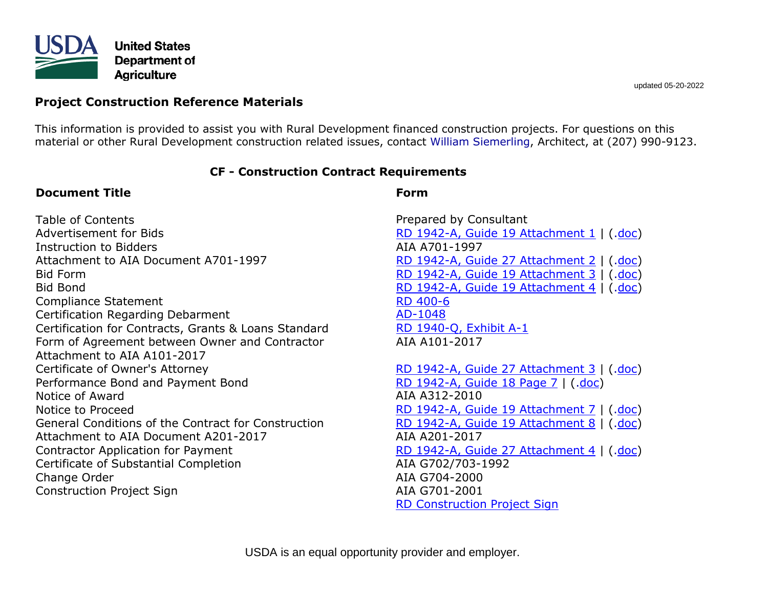

# **Project Construction Reference Materials**

This information is provided to assist you with Rural Development financed construction projects. For questions on this material or other Rural Development construction related issues, contact [William Siemerling,](mailto:william.siemerling@usda.gov) Architect, at (207) 990-9123.

### **CF - Construction Contract Requirements**

### **Document Title**

Table of Contents Advertisement for Bids Instruction to Bidders Attachment to AIA Document A701-1997 Bid Form Bid Bond Compliance Statement Certification Regarding Debarment Certification for Contracts, Grants & Loans Standard Form of Agreement between Owner and Contractor Attachment to AIA A101-2017 Certificate of Owner's Attorney Performance Bond and Payment Bond Notice of Award Notice to Proceed General Conditions of the Contract for Construction Attachment to AIA Document A201-2017 Contractor Application for Payment Certificate of Substantial Completion Change Order Construction Project Sign

### **Form**

Prepared by Consultant [RD 1942-A, Guide 19 Attachment 1](http://www.rd.usda.gov/files/ME_1942A-G19A1.pdf) | ([.doc\)](http://www.rd.usda.gov/files/ME_1942A-G19A1.doc) AIA A701-1997 RD 1942-A, [Guide 27 Attachment 2](http://www.rd.usda.gov/files/ME_1942A-G27A2.pdf) | ([.doc\)](http://www.rd.usda.gov/files/ME_1942A-G27A2.doc) [RD 1942-A, Guide 19 Attachment 3](http://www.rd.usda.gov/files/ME_1942A-G19A3.pdf) | ([.doc\)](https://www.rd.usda.gov/files/ME_1942A-G19A3.docx) [RD 1942-A, Guide 19 Attachment 4](http://www.rd.usda.gov/files/ME_1942A-G19A4.pdf) | ([.doc\)](https://www.rd.usda.gov/files/ME_1942A-G19A4.docx) [RD 400-6](http://www.rd.usda.gov/files/ME_400-6.pdf) [AD-1048](http://www.rd.usda.gov/files/ME_1048.pdf) [RD 1940-Q, Exhibit A-1](http://www.rd.usda.gov/files/ME_1940-Q_ExA1.pdf) AIA A101-2017

[RD 1942-A, Guide 27 Attachment 3](http://www.rd.usda.gov/files/ME_1942A-G27A3.pdf) | ([.doc\)](http://www.rd.usda.gov/files/ME_1942A-G27A3.doc) [RD 1942-A, Guide 18 Page 7](https://www.rd.usda.gov/files/ME_1942A-G18P7RDI.pdf) | ([.doc\)](https://www.rd.usda.gov/files/ME_1942A-G18P7.docx) AIA A312-2010 [RD 1942-A, Guide 19 Attachment 7](http://www.rd.usda.gov/files/ME_1942A-G19A7.pdf) | ([.doc\)](http://www.rd.usda.gov/files/ME_1942A-G19A7.doc) [RD 1942-A, Guide 19 Attachment 8](http://www.rd.usda.gov/files/ME_1942A-G19A8.pdf) | ([.doc\)](http://www.rd.usda.gov/files/ME_1942A-G19A8.doc) AIA A201-2017 [RD 1942-A, Guide 27 Attachment 4](http://www.rd.usda.gov/files/ME_1942A-G27A4.pdf) | ([.doc\)](http://www.rd.usda.gov/files/ME_1942A-G27A4.doc) AIA G702/703-1992 AIA G704-2000 AIA G701-2001 [RD Construction Project Sign](http://www.rd.usda.gov/files/ME_UWPUSDAConstSignLandscape.pdf)